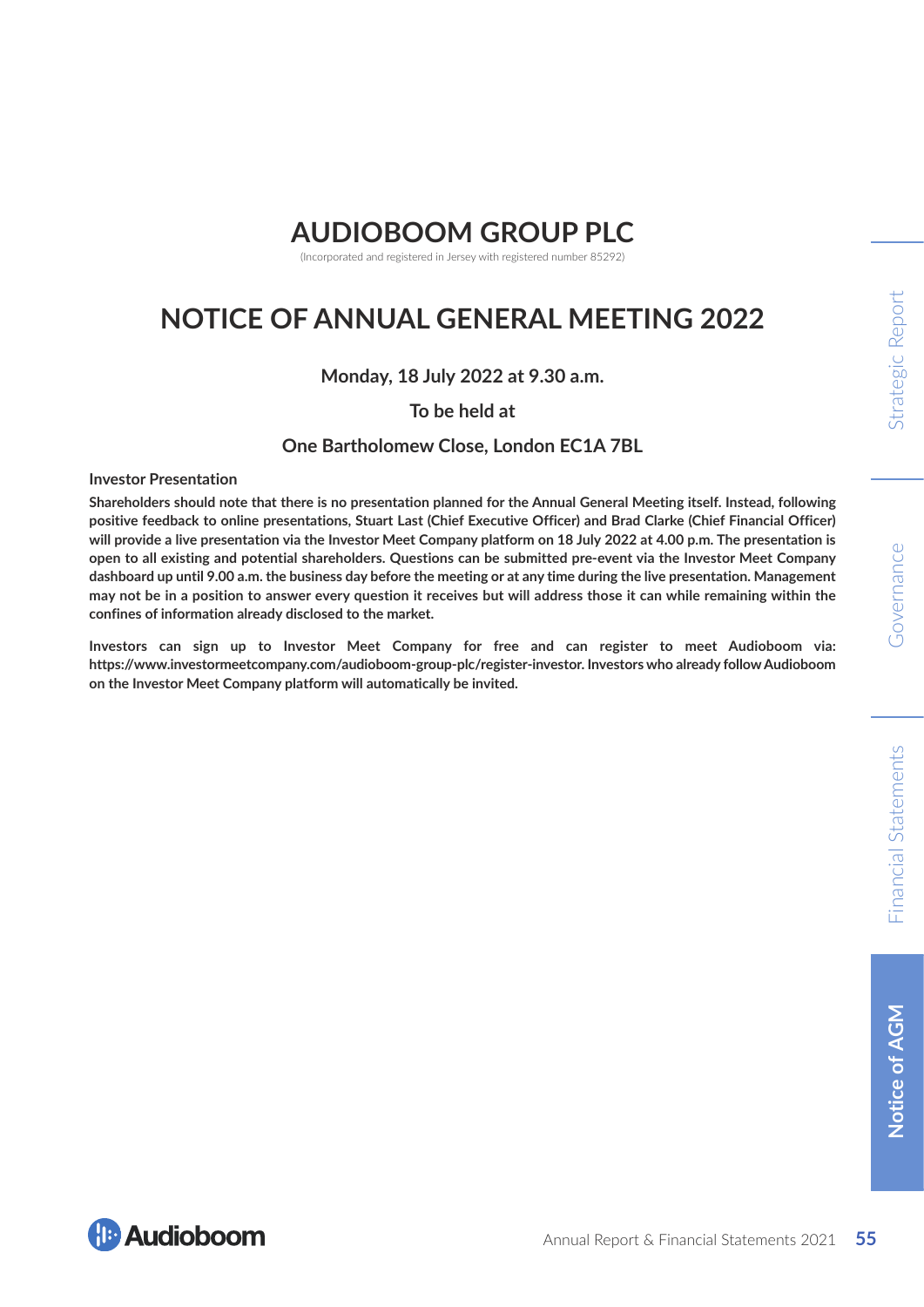# **AUDIOBOOM GROUP PLC**

(Incorporated and registered in Jersey with registered number 85292)

# **NOTICE OF ANNUAL GENERAL MEETING 2022**

**Monday, 18 July 2022 at 9.30 a.m.**

**To be held at** 

### **One Bartholomew Close, London EC1A 7BL**

**Investor Presentation**

**Shareholders should note that there is no presentation planned for the Annual General Meeting itself. Instead, following positive feedback to online presentations, Stuart Last (Chief Executive Officer) and Brad Clarke (Chief Financial Officer) will provide a live presentation via the Investor Meet Company platform on 18 July 2022 at 4.00 p.m. The presentation is open to all existing and potential shareholders. Questions can be submitted pre-event via the Investor Meet Company dashboard up until 9.00 a.m. the business day before the meeting or at any time during the live presentation. Management may not be in a position to answer every question it receives but will address those it can while remaining within the confines of information already disclosed to the market.**

**Investors can sign up to Investor Meet Company for free and can register to meet Audioboom via: https://www.investormeetcompany.com/audioboom-group-plc/register-investor. Investors who already follow Audioboom on the Investor Meet Company platform will automatically be invited.**

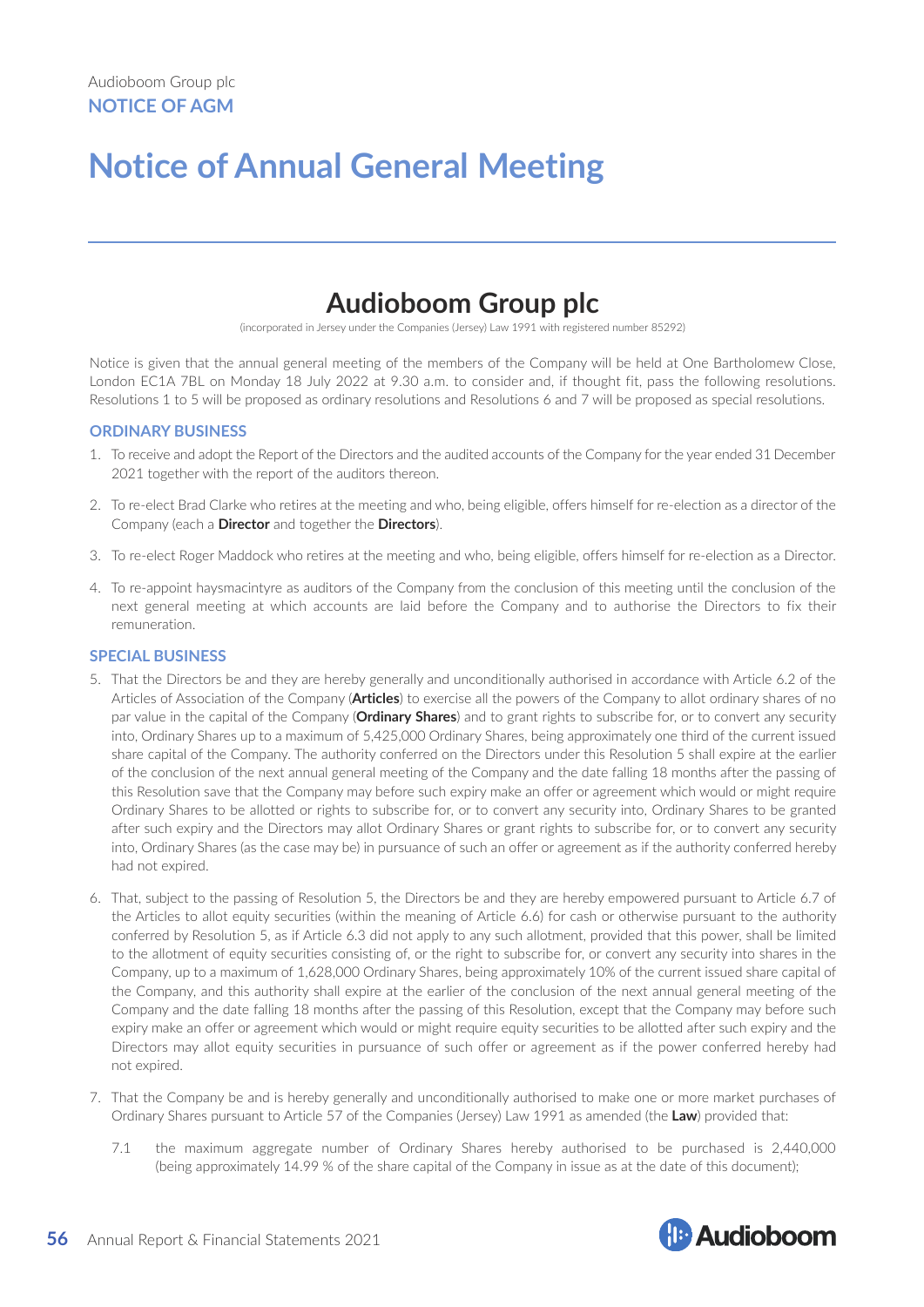# **Notice of Annual General Meeting**

# **Audioboom Group plc**

(incorporated in Jersey under the Companies (Jersey) Law 1991 with registered number 85292)

Notice is given that the annual general meeting of the members of the Company will be held at One Bartholomew Close, London EC1A 7BL on Monday 18 July 2022 at 9.30 a.m. to consider and, if thought fit, pass the following resolutions. Resolutions 1 to 5 will be proposed as ordinary resolutions and Resolutions 6 and 7 will be proposed as special resolutions.

#### **ORDINARY BUSINESS**

- 1. To receive and adopt the Report of the Directors and the audited accounts of the Company for the year ended 31 December 2021 together with the report of the auditors thereon.
- 2. To re-elect Brad Clarke who retires at the meeting and who, being eligible, offers himself for re-election as a director of the Company (each a **Director** and together the **Directors**).
- 3. To re-elect Roger Maddock who retires at the meeting and who, being eligible, offers himself for re-election as a Director.
- 4. To re-appoint haysmacintyre as auditors of the Company from the conclusion of this meeting until the conclusion of the next general meeting at which accounts are laid before the Company and to authorise the Directors to fix their remuneration.

#### **SPECIAL BUSINESS**

- 5. That the Directors be and they are hereby generally and unconditionally authorised in accordance with Article 6.2 of the Articles of Association of the Company (**Articles**) to exercise all the powers of the Company to allot ordinary shares of no par value in the capital of the Company (**Ordinary Shares**) and to grant rights to subscribe for, or to convert any security into, Ordinary Shares up to a maximum of 5,425,000 Ordinary Shares, being approximately one third of the current issued share capital of the Company. The authority conferred on the Directors under this Resolution 5 shall expire at the earlier of the conclusion of the next annual general meeting of the Company and the date falling 18 months after the passing of this Resolution save that the Company may before such expiry make an offer or agreement which would or might require Ordinary Shares to be allotted or rights to subscribe for, or to convert any security into, Ordinary Shares to be granted after such expiry and the Directors may allot Ordinary Shares or grant rights to subscribe for, or to convert any security into, Ordinary Shares (as the case may be) in pursuance of such an offer or agreement as if the authority conferred hereby had not expired.
- 6. That, subject to the passing of Resolution 5, the Directors be and they are hereby empowered pursuant to Article 6.7 of the Articles to allot equity securities (within the meaning of Article 6.6) for cash or otherwise pursuant to the authority conferred by Resolution 5, as if Article 6.3 did not apply to any such allotment, provided that this power, shall be limited to the allotment of equity securities consisting of, or the right to subscribe for, or convert any security into shares in the Company, up to a maximum of 1,628,000 Ordinary Shares, being approximately 10% of the current issued share capital of the Company, and this authority shall expire at the earlier of the conclusion of the next annual general meeting of the Company and the date falling 18 months after the passing of this Resolution, except that the Company may before such expiry make an offer or agreement which would or might require equity securities to be allotted after such expiry and the Directors may allot equity securities in pursuance of such offer or agreement as if the power conferred hereby had not expired.
- 7. That the Company be and is hereby generally and unconditionally authorised to make one or more market purchases of Ordinary Shares pursuant to Article 57 of the Companies (Jersey) Law 1991 as amended (the **Law**) provided that:
	- 7.1 the maximum aggregate number of Ordinary Shares hereby authorised to be purchased is 2,440,000 (being approximately 14.99 % of the share capital of the Company in issue as at the date of this document);

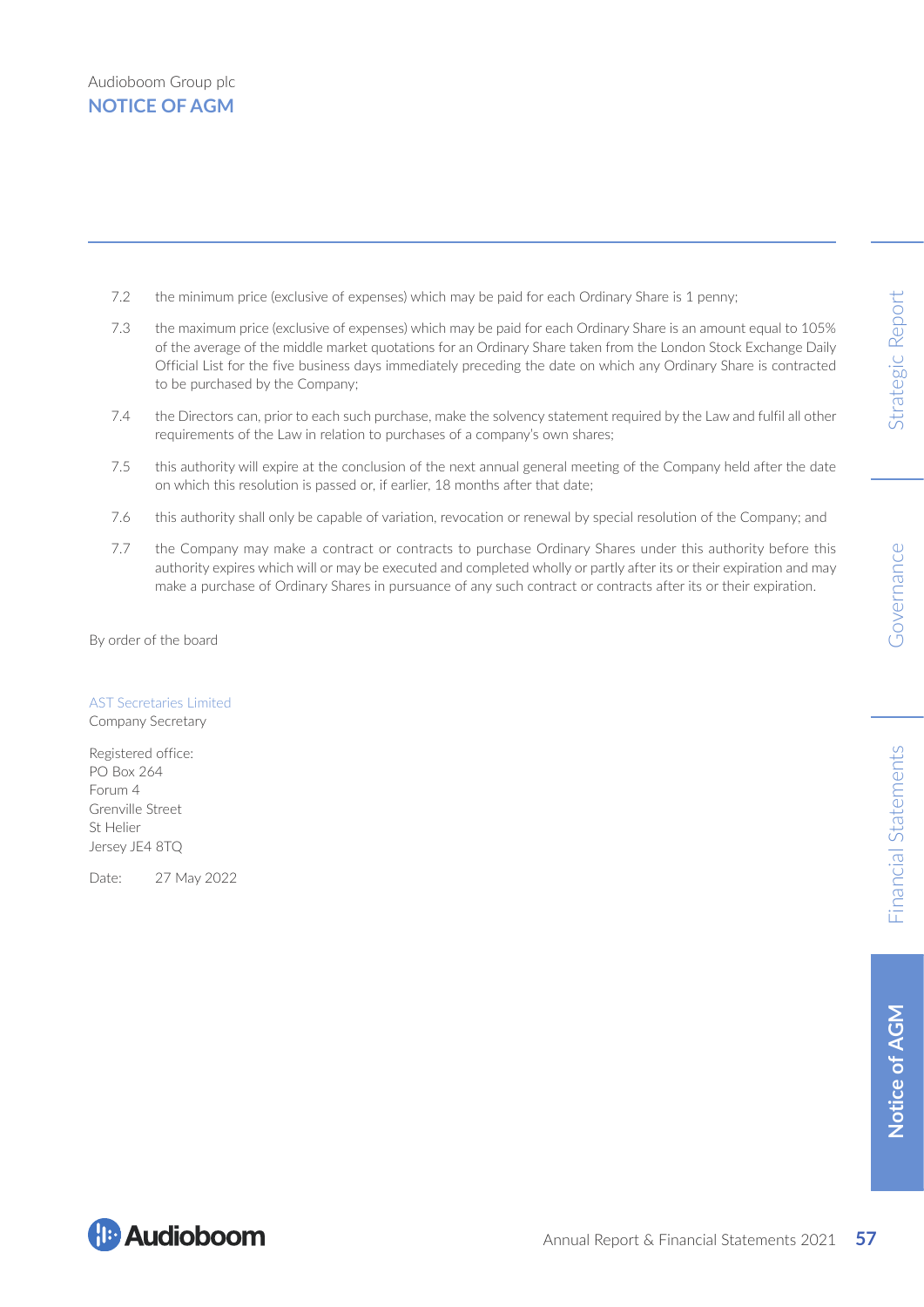- 7.2 the minimum price (exclusive of expenses) which may be paid for each Ordinary Share is 1 penny;
- 7.3 the maximum price (exclusive of expenses) which may be paid for each Ordinary Share is an amount equal to 105% of the average of the middle market quotations for an Ordinary Share taken from the London Stock Exchange Daily Official List for the five business days immediately preceding the date on which any Ordinary Share is contracted to be purchased by the Company;
- 7.4 the Directors can, prior to each such purchase, make the solvency statement required by the Law and fulfil all other requirements of the Law in relation to purchases of a company's own shares;
- 7.5 this authority will expire at the conclusion of the next annual general meeting of the Company held after the date on which this resolution is passed or, if earlier, 18 months after that date;
- 7.6 this authority shall only be capable of variation, revocation or renewal by special resolution of the Company; and
- 7.7 the Company may make a contract or contracts to purchase Ordinary Shares under this authority before this authority expires which will or may be executed and completed wholly or partly after its or their expiration and may make a purchase of Ordinary Shares in pursuance of any such contract or contracts after its or their expiration.

By order of the board

#### AST Secretaries Limited

Company Secretary

Registered office: PO Box 264 Forum 4 Grenville Street St Helier Jersey JE4 8TQ

Date: 27 May 2022

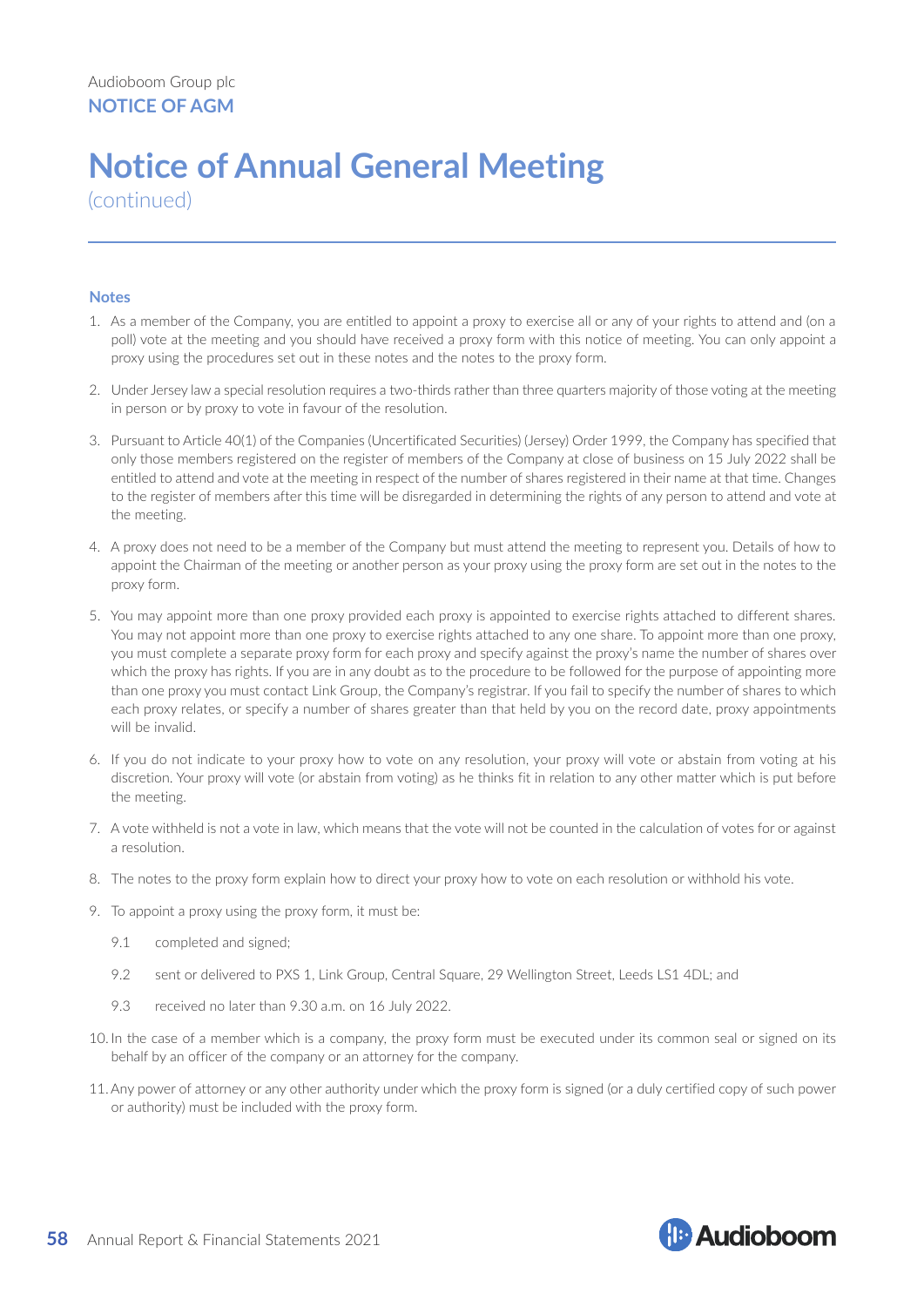# **Notice of Annual General Meeting**

(continued)

#### **Notes**

- 1. As a member of the Company, you are entitled to appoint a proxy to exercise all or any of your rights to attend and (on a poll) vote at the meeting and you should have received a proxy form with this notice of meeting. You can only appoint a proxy using the procedures set out in these notes and the notes to the proxy form.
- 2. Under Jersey law a special resolution requires a two-thirds rather than three quarters majority of those voting at the meeting in person or by proxy to vote in favour of the resolution.
- 3. Pursuant to Article 40(1) of the Companies (Uncertificated Securities) (Jersey) Order 1999, the Company has specified that only those members registered on the register of members of the Company at close of business on 15 July 2022 shall be entitled to attend and vote at the meeting in respect of the number of shares registered in their name at that time. Changes to the register of members after this time will be disregarded in determining the rights of any person to attend and vote at the meeting.
- 4. A proxy does not need to be a member of the Company but must attend the meeting to represent you. Details of how to appoint the Chairman of the meeting or another person as your proxy using the proxy form are set out in the notes to the proxy form.
- 5. You may appoint more than one proxy provided each proxy is appointed to exercise rights attached to different shares. You may not appoint more than one proxy to exercise rights attached to any one share. To appoint more than one proxy, you must complete a separate proxy form for each proxy and specify against the proxy's name the number of shares over which the proxy has rights. If you are in any doubt as to the procedure to be followed for the purpose of appointing more than one proxy you must contact Link Group, the Company's registrar. If you fail to specify the number of shares to which each proxy relates, or specify a number of shares greater than that held by you on the record date, proxy appointments will be invalid.
- 6. If you do not indicate to your proxy how to vote on any resolution, your proxy will vote or abstain from voting at his discretion. Your proxy will vote (or abstain from voting) as he thinks fit in relation to any other matter which is put before the meeting.
- 7. A vote withheld is not a vote in law, which means that the vote will not be counted in the calculation of votes for or against a resolution.
- 8. The notes to the proxy form explain how to direct your proxy how to vote on each resolution or withhold his vote.
- 9. To appoint a proxy using the proxy form, it must be:
	- 9.1 completed and signed;
	- 9.2 sent or delivered to PXS 1, Link Group, Central Square, 29 Wellington Street, Leeds LS1 4DL; and
	- 9.3 received no later than 9.30 a.m. on 16 July 2022.
- 10. In the case of a member which is a company, the proxy form must be executed under its common seal or signed on its behalf by an officer of the company or an attorney for the company.
- 11.Any power of attorney or any other authority under which the proxy form is signed (or a duly certified copy of such power or authority) must be included with the proxy form.

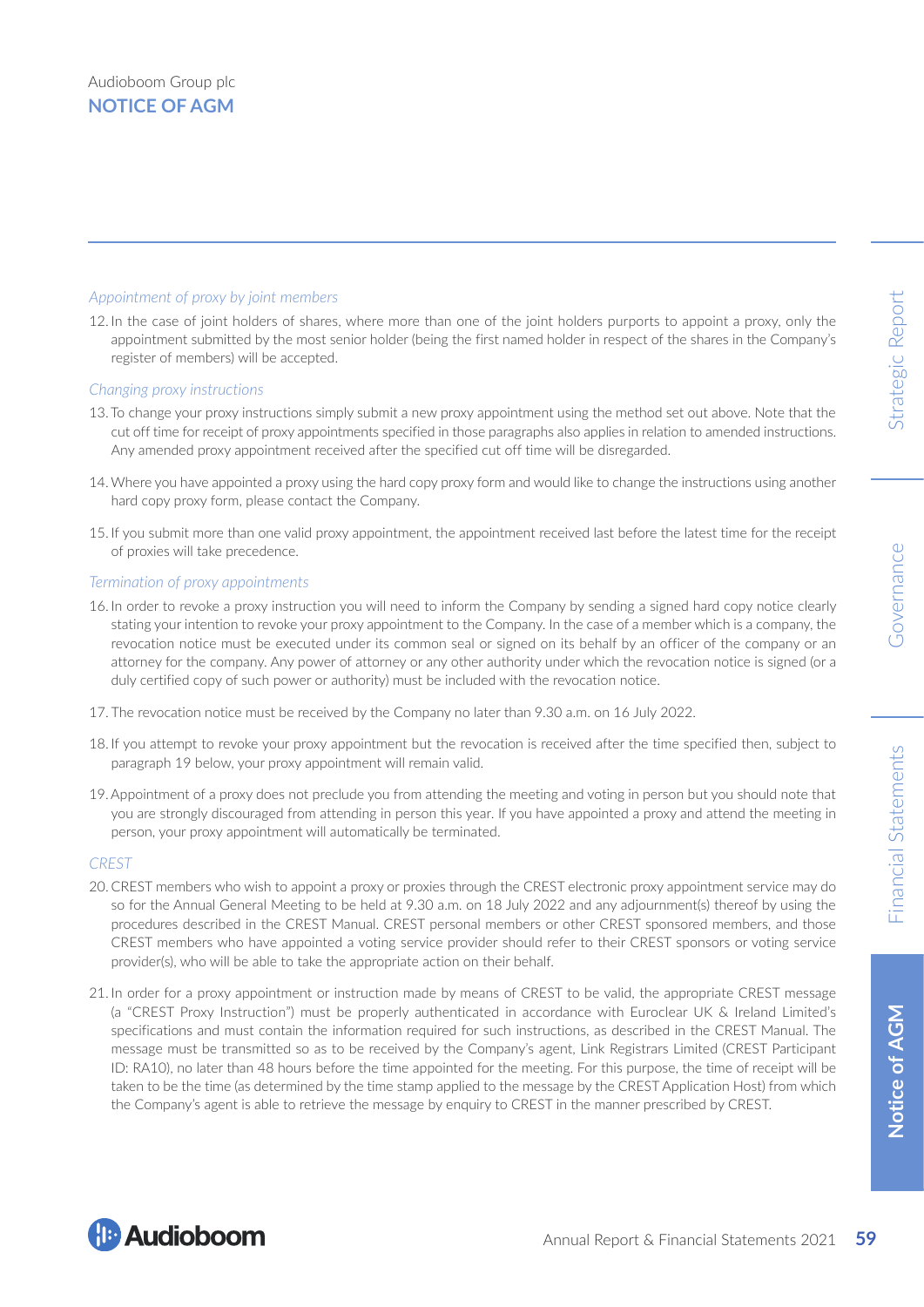#### *Appointment of proxy by joint members*

12. In the case of joint holders of shares, where more than one of the joint holders purports to appoint a proxy, only the appointment submitted by the most senior holder (being the first named holder in respect of the shares in the Company's register of members) will be accepted.

#### *Changing proxy instructions*

- 13. To change your proxy instructions simply submit a new proxy appointment using the method set out above. Note that the cut off time for receipt of proxy appointments specified in those paragraphs also applies in relation to amended instructions. Any amended proxy appointment received after the specified cut off time will be disregarded.
- 14.Where you have appointed a proxy using the hard copy proxy form and would like to change the instructions using another hard copy proxy form, please contact the Company.
- 15. If you submit more than one valid proxy appointment, the appointment received last before the latest time for the receipt of proxies will take precedence.

#### *Termination of proxy appointments*

- 16. In order to revoke a proxy instruction you will need to inform the Company by sending a signed hard copy notice clearly stating your intention to revoke your proxy appointment to the Company. In the case of a member which is a company, the revocation notice must be executed under its common seal or signed on its behalf by an officer of the company or an attorney for the company. Any power of attorney or any other authority under which the revocation notice is signed (or a duly certified copy of such power or authority) must be included with the revocation notice.
- 17. The revocation notice must be received by the Company no later than 9.30 a.m. on 16 July 2022.
- 18. If you attempt to revoke your proxy appointment but the revocation is received after the time specified then, subject to paragraph 19 below, your proxy appointment will remain valid.
- 19.Appointment of a proxy does not preclude you from attending the meeting and voting in person but you should note that you are strongly discouraged from attending in person this year. If you have appointed a proxy and attend the meeting in person, your proxy appointment will automatically be terminated.

#### *CREST*

- 20. CREST members who wish to appoint a proxy or proxies through the CREST electronic proxy appointment service may do so for the Annual General Meeting to be held at 9.30 a.m. on 18 July 2022 and any adjournment(s) thereof by using the procedures described in the CREST Manual. CREST personal members or other CREST sponsored members, and those CREST members who have appointed a voting service provider should refer to their CREST sponsors or voting service provider(s), who will be able to take the appropriate action on their behalf.
- 21. In order for a proxy appointment or instruction made by means of CREST to be valid, the appropriate CREST message (a "CREST Proxy Instruction") must be properly authenticated in accordance with Euroclear UK & Ireland Limited's specifications and must contain the information required for such instructions, as described in the CREST Manual. The message must be transmitted so as to be received by the Company's agent, Link Registrars Limited (CREST Participant ID: RA10), no later than 48 hours before the time appointed for the meeting. For this purpose, the time of receipt will be taken to be the time (as determined by the time stamp applied to the message by the CREST Application Host) from which the Company's agent is able to retrieve the message by enquiry to CREST in the manner prescribed by CREST.

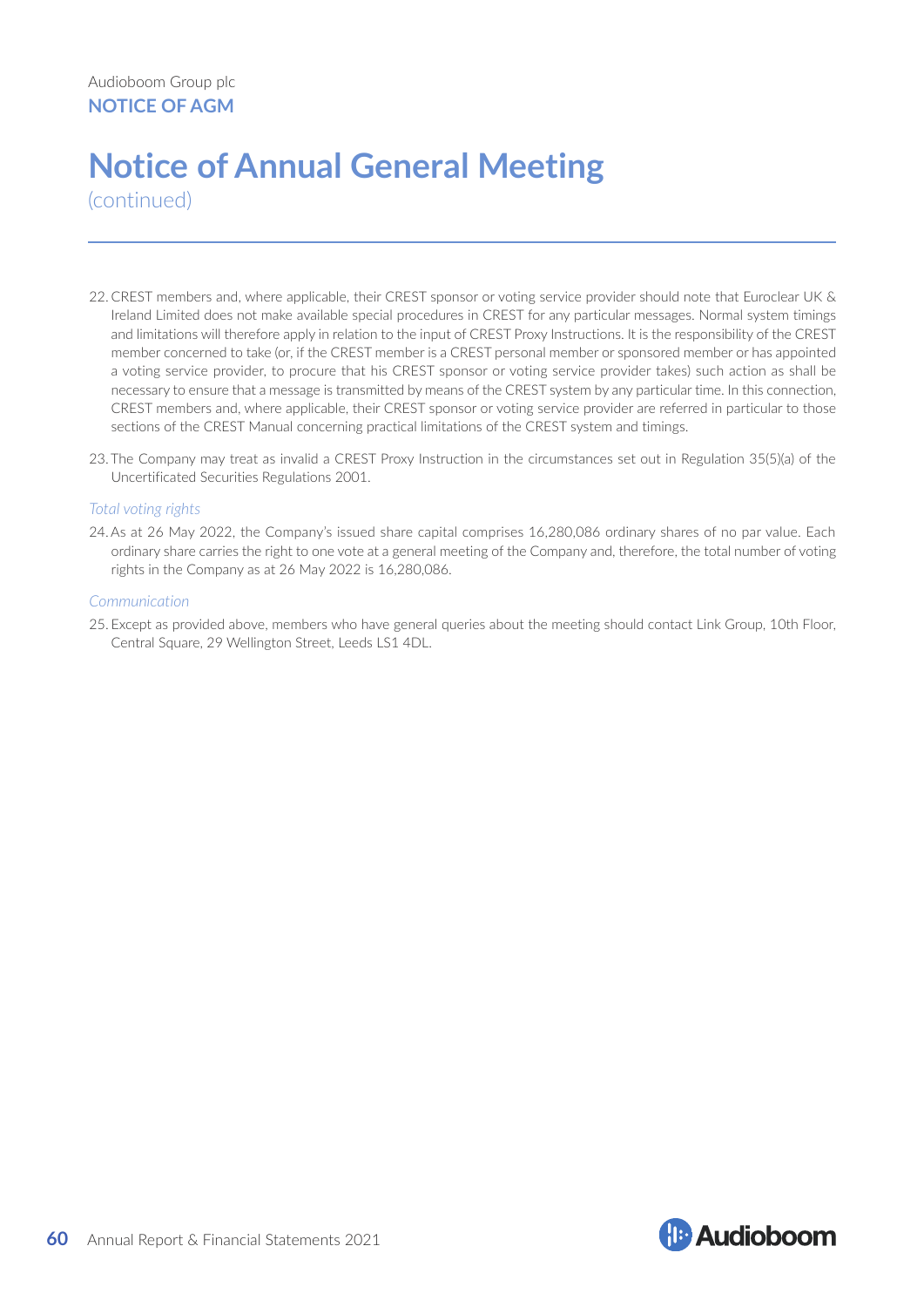# **Notice of Annual General Meeting**

(continued)

- 22. CREST members and, where applicable, their CREST sponsor or voting service provider should note that Euroclear UK & Ireland Limited does not make available special procedures in CREST for any particular messages. Normal system timings and limitations will therefore apply in relation to the input of CREST Proxy Instructions. It is the responsibility of the CREST member concerned to take (or, if the CREST member is a CREST personal member or sponsored member or has appointed a voting service provider, to procure that his CREST sponsor or voting service provider takes) such action as shall be necessary to ensure that a message is transmitted by means of the CREST system by any particular time. In this connection, CREST members and, where applicable, their CREST sponsor or voting service provider are referred in particular to those sections of the CREST Manual concerning practical limitations of the CREST system and timings.
- 23. The Company may treat as invalid a CREST Proxy Instruction in the circumstances set out in Regulation 35(5)(a) of the Uncertificated Securities Regulations 2001.

#### *Total voting rights*

24.As at 26 May 2022, the Company's issued share capital comprises 16,280,086 ordinary shares of no par value. Each ordinary share carries the right to one vote at a general meeting of the Company and, therefore, the total number of voting rights in the Company as at 26 May 2022 is 16,280,086.

#### *Communication*

25. Except as provided above, members who have general queries about the meeting should contact Link Group, 10th Floor, Central Square, 29 Wellington Street, Leeds LS1 4DL.